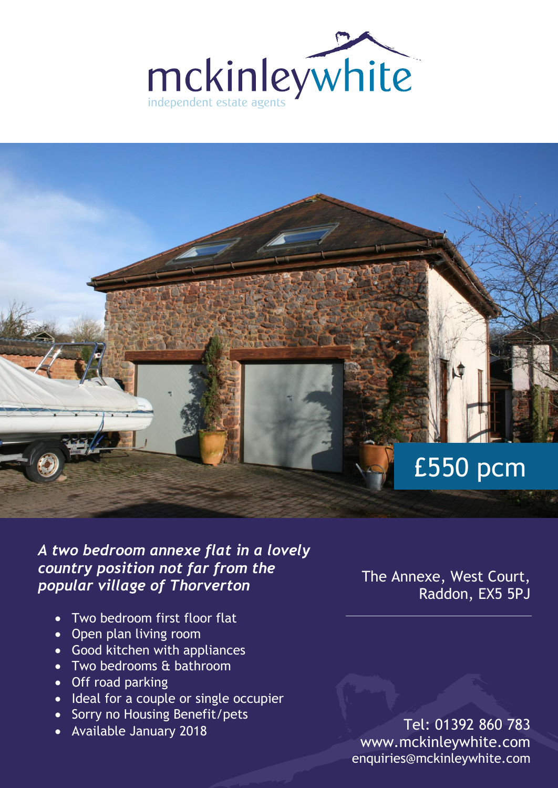



*A two bedroom annexe flat in a lovely country position not far from the popular village of Thorverton*

- Two bedroom first floor flat
- Open plan living room
- Good kitchen with appliances
- Two bedrooms & bathroom
- Off road parking
- Ideal for a couple or single occupier
- Sorry no Housing Benefit/pets
- Available January 2018

The Annexe, West Court, Raddon, EX5 5PJ

Tel: 01392 860 783 www.mckinleywhite.com enquiries@mckinleywhite.com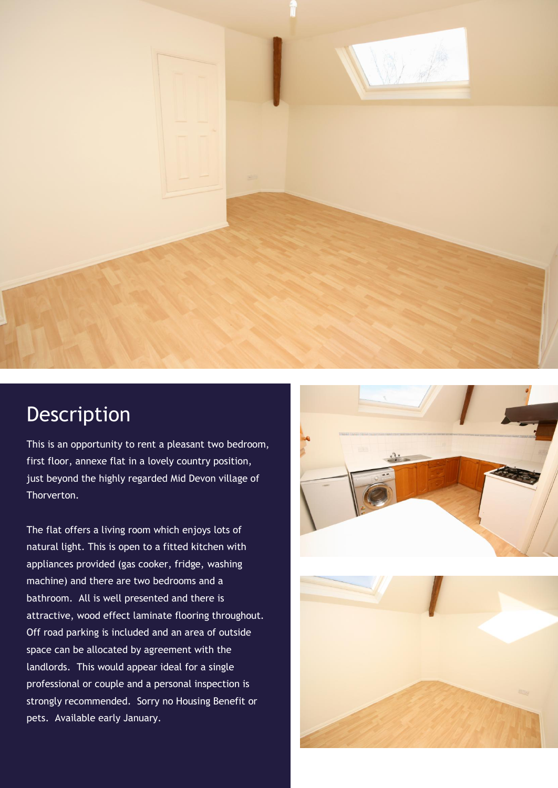

## Description

This is an opportunity to rent a pleasant two bedroom, first floor, annexe flat in a lovely country position, just beyond the highly regarded Mid Devon village of Thorverton.

The flat offers a living room which enjoys lots of natural light. This is open to a fitted kitchen with appliances provided (gas cooker, fridge, washing machine) and there are two bedrooms and a bathroom. All is well presented and there is attractive, wood effect laminate flooring throughout. Off road parking is included and an area of outside space can be allocated by agreement with the landlords. This would appear ideal for a single professional or couple and a personal inspection is strongly recommended. Sorry no Housing Benefit or pets. Available early January.



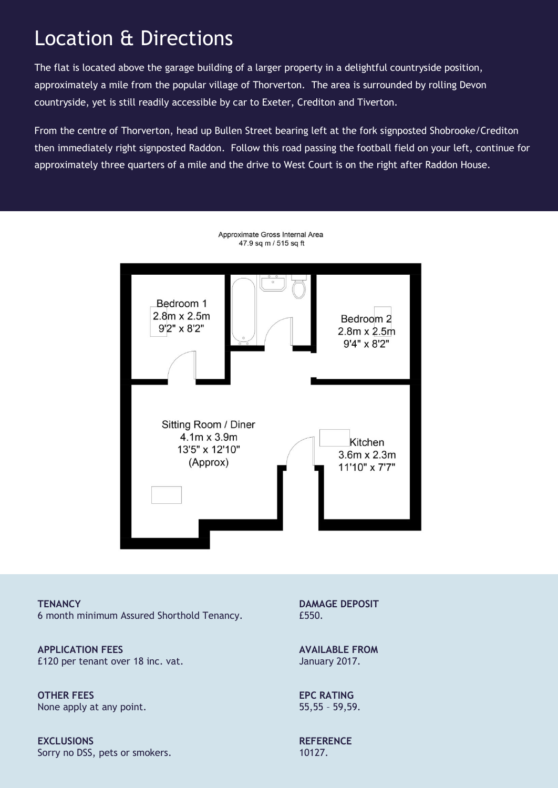## Location & Directions

The flat is located above the garage building of a larger property in a delightful countryside position, approximately a mile from the popular village of Thorverton. The area is surrounded by rolling Devon countryside, yet is still readily accessible by car to Exeter, Crediton and Tiverton.

From the centre of Thorverton, head up Bullen Street bearing left at the fork signposted Shobrooke/Crediton then immediately right signposted Raddon. Follow this road passing the football field on your left, continue for approximately three quarters of a mile and the drive to West Court is on the right after Raddon House.



**TENANCY** 6 month minimum Assured Shorthold Tenancy.

**APPLICATION FEES** £120 per tenant over 18 inc. vat.

**OTHER FEES** None apply at any point.

**EXCLUSIONS** Sorry no DSS, pets or smokers. **DAMAGE DEPOSIT** £550.

**AVAILABLE FROM** January 2017.

**EPC RATING** 55,55 – 59,59.

**REFERENCE** 10127.